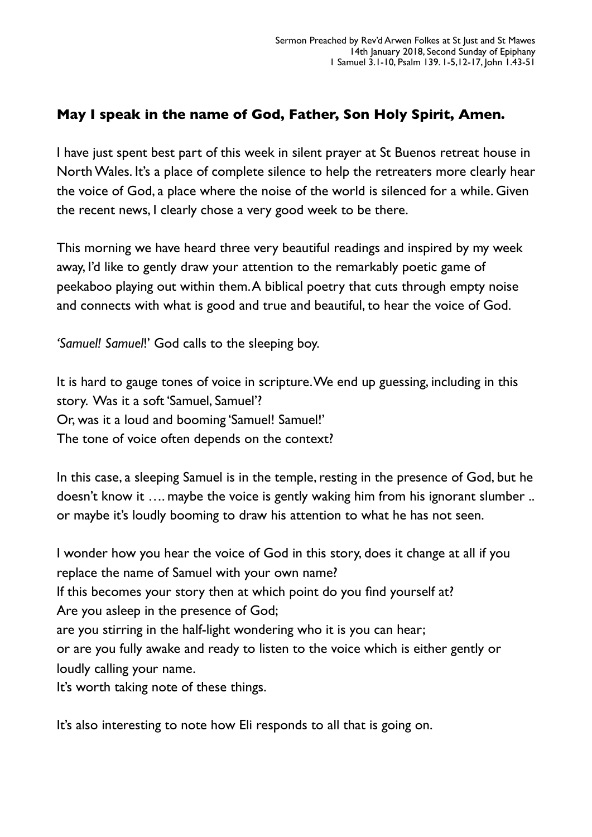## **May I speak in the name of God, Father, Son Holy Spirit, Amen.**

I have just spent best part of this week in silent prayer at St Buenos retreat house in North Wales. It's a place of complete silence to help the retreaters more clearly hear the voice of God, a place where the noise of the world is silenced for a while. Given the recent news, I clearly chose a very good week to be there.

This morning we have heard three very beautiful readings and inspired by my week away, I'd like to gently draw your attention to the remarkably poetic game of peekaboo playing out within them. A biblical poetry that cuts through empty noise and connects with what is good and true and beautiful, to hear the voice of God.

*'Samuel! Samuel*!' God calls to the sleeping boy.

It is hard to gauge tones of voice in scripture. We end up guessing, including in this story. Was it a soft 'Samuel, Samuel'? Or, was it a loud and booming 'Samuel! Samuel!' The tone of voice often depends on the context?

In this case, a sleeping Samuel is in the temple, resting in the presence of God, but he doesn't know it …. maybe the voice is gently waking him from his ignorant slumber .. or maybe it's loudly booming to draw his attention to what he has not seen.

I wonder how you hear the voice of God in this story, does it change at all if you replace the name of Samuel with your own name? If this becomes your story then at which point do you find yourself at? Are you asleep in the presence of God; are you stirring in the half-light wondering who it is you can hear; or are you fully awake and ready to listen to the voice which is either gently or loudly calling your name. It's worth taking note of these things.

It's also interesting to note how Eli responds to all that is going on.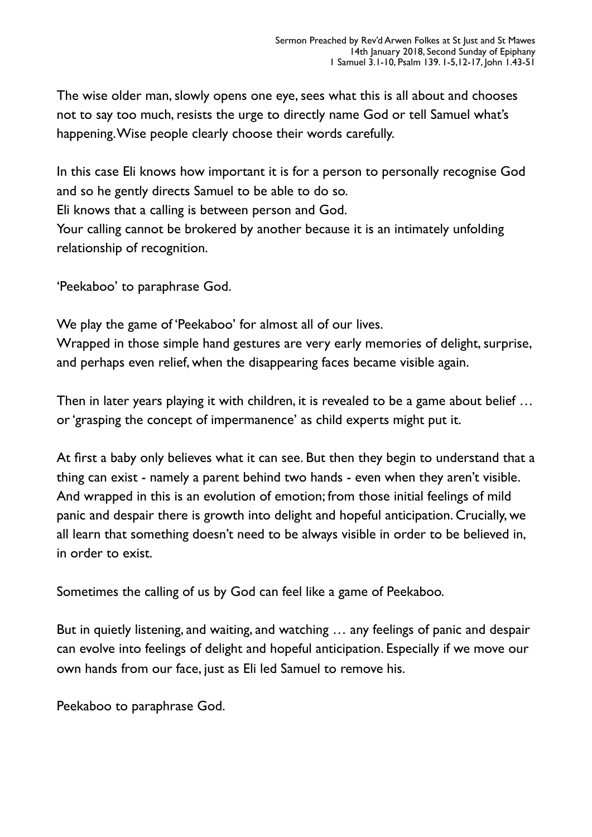The wise older man, slowly opens one eye, sees what this is all about and chooses not to say too much, resists the urge to directly name God or tell Samuel what's happening. Wise people clearly choose their words carefully.

In this case Eli knows how important it is for a person to personally recognise God and so he gently directs Samuel to be able to do so. Eli knows that a calling is between person and God. Your calling cannot be brokered by another because it is an intimately unfolding relationship of recognition.

'Peekaboo' to paraphrase God.

We play the game of 'Peekaboo' for almost all of our lives.

Wrapped in those simple hand gestures are very early memories of delight, surprise, and perhaps even relief, when the disappearing faces became visible again.

Then in later years playing it with children, it is revealed to be a game about belief … or 'grasping the concept of impermanence' as child experts might put it.

At first a baby only believes what it can see. But then they begin to understand that a thing can exist - namely a parent behind two hands - even when they aren't visible. And wrapped in this is an evolution of emotion; from those initial feelings of mild panic and despair there is growth into delight and hopeful anticipation. Crucially, we all learn that something doesn't need to be always visible in order to be believed in, in order to exist.

Sometimes the calling of us by God can feel like a game of Peekaboo.

But in quietly listening, and waiting, and watching … any feelings of panic and despair can evolve into feelings of delight and hopeful anticipation. Especially if we move our own hands from our face, just as Eli led Samuel to remove his.

Peekaboo to paraphrase God.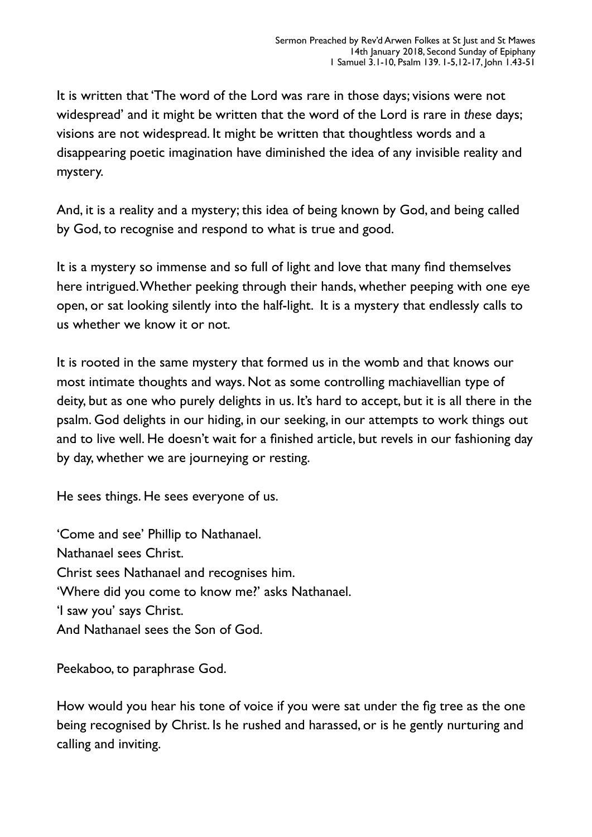It is written that 'The word of the Lord was rare in those days; visions were not widespread' and it might be written that the word of the Lord is rare in *these* days; visions are not widespread. It might be written that thoughtless words and a disappearing poetic imagination have diminished the idea of any invisible reality and mystery.

And, it is a reality and a mystery; this idea of being known by God, and being called by God, to recognise and respond to what is true and good.

It is a mystery so immense and so full of light and love that many find themselves here intrigued. Whether peeking through their hands, whether peeping with one eye open, or sat looking silently into the half-light. It is a mystery that endlessly calls to us whether we know it or not.

It is rooted in the same mystery that formed us in the womb and that knows our most intimate thoughts and ways. Not as some controlling machiavellian type of deity, but as one who purely delights in us. It's hard to accept, but it is all there in the psalm. God delights in our hiding, in our seeking, in our attempts to work things out and to live well. He doesn't wait for a finished article, but revels in our fashioning day by day, whether we are journeying or resting.

He sees things. He sees everyone of us.

'Come and see' Phillip to Nathanael. Nathanael sees Christ. Christ sees Nathanael and recognises him. 'Where did you come to know me?' asks Nathanael. 'I saw you' says Christ. And Nathanael sees the Son of God.

Peekaboo, to paraphrase God.

How would you hear his tone of voice if you were sat under the fig tree as the one being recognised by Christ. Is he rushed and harassed, or is he gently nurturing and calling and inviting.